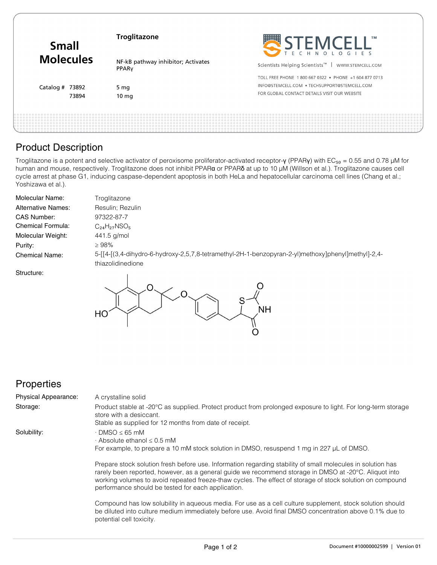| <b>Small</b><br><b>Molecules</b> | <b>Troglitazone</b>                         | STEMCELL                                                      |
|----------------------------------|---------------------------------------------|---------------------------------------------------------------|
|                                  | NF-kB pathway inhibitor; Activates<br>PPARy | Scientists Helping Scientists <sup>™</sup>   WWW.STEMCELL.COM |
| Catalog $#$ 73892                |                                             | TOLL FREE PHONE 1800 667 0322 . PHONE +1 604 877 0713         |
|                                  | 5 mg                                        | INFO@STEMCELL.COM • TECHSUPPORT@STEMCELL.COM                  |
| 73894                            | 10 <sub>mg</sub>                            | FOR GLOBAL CONTACT DETAILS VISIT OUR WEBSITE                  |
|                                  |                                             |                                                               |

# Product Description

Troglitazone is a potent and selective activator of peroxisome proliferator-activated receptor-γ (PPARγ) with EC<sub>50</sub> = 0.55 and 0.78 µM for human and mouse, respectively. Troglitazone does not inhibit PPAR**α** or PPAR**δ** at up to 10 μM (Willson et al.). Troglitazone causes cell cycle arrest at phase G1, inducing caspase-dependent apoptosis in both HeLa and hepatocellular carcinoma cell lines (Chang et al.; Yoshizawa et al.).

| Molecular Name:           | Troglitazone                                                                                                            |
|---------------------------|-------------------------------------------------------------------------------------------------------------------------|
| <b>Alternative Names:</b> | Resulin; Rezulin                                                                                                        |
| CAS Number:               | 97322-87-7                                                                                                              |
| Chemical Formula:         | $C_{24}H_{27}NSO_5$                                                                                                     |
| Molecular Weight:         | 441.5 g/mol                                                                                                             |
| Purity:                   | $\geq 98\%$                                                                                                             |
| <b>Chemical Name:</b>     | 5-[[4-[(3,4-dihydro-6-hydroxy-2,5,7,8-tetramethyl-2H-1-benzopyran-2-yl)methoxy]phenyl]methyl]-2,4-<br>thiazolidinedione |
| Structure:                |                                                                                                                         |



## **Properties**

| <b>Physical Appearance:</b> | A crystalline solid                                                                                                                                                                                                                                                                                                                                                                     |
|-----------------------------|-----------------------------------------------------------------------------------------------------------------------------------------------------------------------------------------------------------------------------------------------------------------------------------------------------------------------------------------------------------------------------------------|
| Storage:                    | Product stable at -20°C as supplied. Protect product from prolonged exposure to light. For long-term storage<br>store with a desiccant.<br>Stable as supplied for 12 months from date of receipt.                                                                                                                                                                                       |
| Solubility:                 | $\cdot$ DMSO $\leq$ 65 mM<br>$\cdot$ Absolute ethanol $\leq 0.5$ mM<br>For example, to prepare a 10 mM stock solution in DMSO, resuspend 1 mg in 227 µL of DMSO.                                                                                                                                                                                                                        |
|                             | Prepare stock solution fresh before use. Information regarding stability of small molecules in solution has<br>rarely been reported, however, as a general quide we recommend storage in DMSO at -20°C. Aliquot into<br>working volumes to avoid repeated freeze-thaw cycles. The effect of storage of stock solution on compound<br>performance should be tested for each application. |
|                             | Compound has low solubility in aqueous media. For use as a cell culture supplement, stock solution should<br>be diluted into culture medium immediately before use. Avoid final DMSO concentration above 0.1% due to                                                                                                                                                                    |

potential cell toxicity.